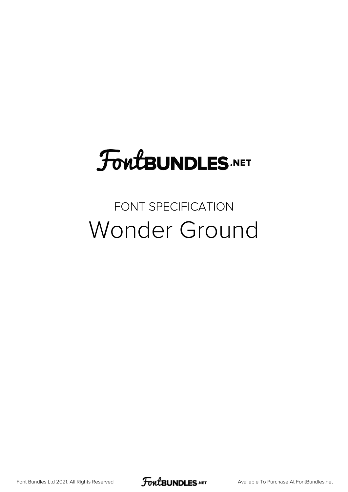# **FoutBUNDLES.NET**

### FONT SPECIFICATION Wonder Ground

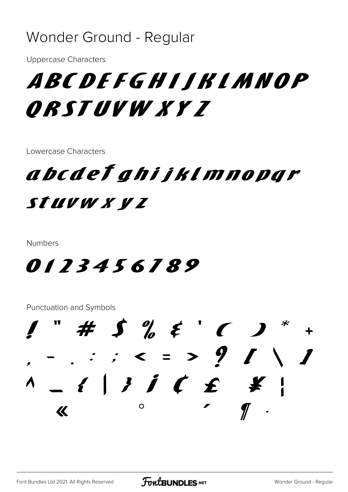#### Wonder Ground - Regular

**Uppercase Characters** 

# ABCDEFGHIJKIMNOP ORSTUVW XY Z

Lowercase Characters

### abcdeľ ghijklmnopqr STUVW X Y Z

**Numbers** 

#### 0123456789

**Punctuation and Symbols** 

 $\#$   $\int_{a}^{b}$   $\xi$   $\int$   $\int$  $-$  . : ; < = > ? / \ /  $\circ$  $\overline{\mathcal{K}}$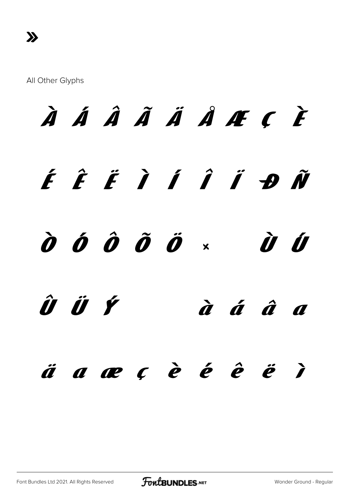$\lambda$ 

# À Á Â Ã Ä Ä Å Æ C È ÉÊËÌÍÎÎĐÑ  $\hat{\boldsymbol{o}}$   $\hat{\boldsymbol{o}}$   $\hat{\boldsymbol{o}}$   $\hat{\boldsymbol{o}}$   $\hat{\boldsymbol{o}}$   $\times$ Ù Ú ÛÜÝ  $\dot{a}$   $\acute{a}$   $\acute{a}$   $a$ äaæcèé ê ë  $\sum$

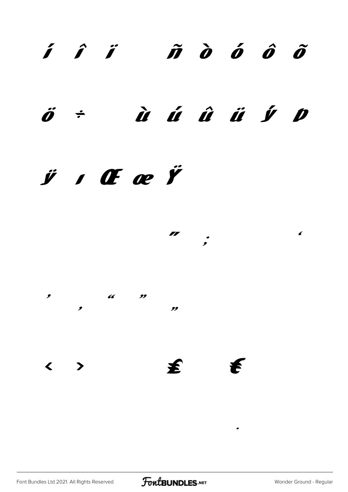## $\hat{i}$   $\hat{j}$   $\hat{m}$   $\hat{o}$   $\hat{o}$   $\hat{o}$

#### à á â ä y p  $\ddot{\theta}$  ÷

#### $\ddot{y}$  ,  $\alpha$   $\alpha$   $\ddot{y}$

 $\mathbf{r}$  $\pmb{\epsilon}$  $\ddot{\cdot}$  $\overline{a}$  $\frac{1}{2}$ 

 $\overline{\phantom{a}}$ 99 至  $\left\langle \quad \right\rangle$  $\boldsymbol{t}$ 

Font Bundles Ltd 2021. All Rights Reserved